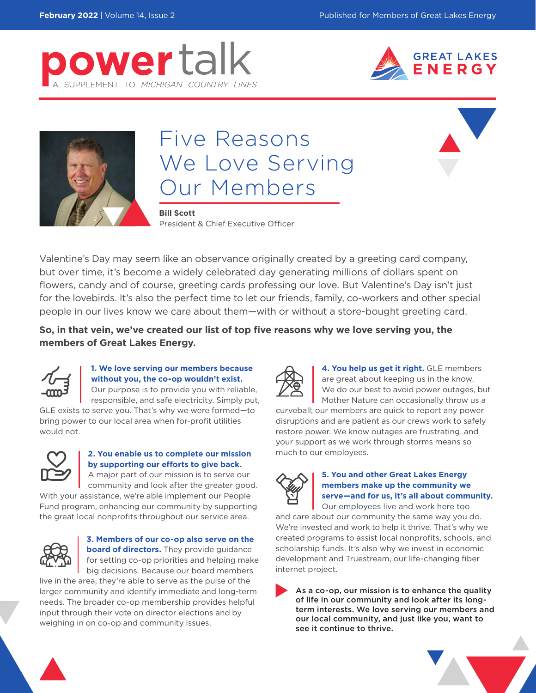





# Five Reasons We Love Serving Our Members

**Bill Scott**

President & Chief Executive Officer

Valentine's Day may seem like an observance originally created by a greeting card company, but over time, it's become a widely celebrated day generating millions of dollars spent on flowers, candy and of course, greeting cards professing our love. But Valentine's Day isn't just for the lovebirds. It's also the perfect time to let our friends, family, co-workers and other special people in our lives know we care about them—with or without a store-bought greeting card.

**So, in that vein, we've created our list of top five reasons why we love serving you, the members of Great Lakes Energy.**



#### **1. We love serving our members because without you, the co-op wouldn't exist.**

Our purpose is to provide you with reliable, responsible, and safe electricity. Simply put,

GLE exists to serve you. That's why we were formed—to bring power to our local area when for-profit utilities would not.



#### **2. You enable us to complete our mission by supporting our efforts to give back.**

A major part of our mission is to serve our community and look after the greater good. With your assistance, we're able implement our People Fund program, enhancing our community by supporting the great local nonprofits throughout our service area.



#### **3. Members of our co-op also serve on the board of directors.** They provide guidance for setting co-op priorities and helping make big decisions. Because our board members

live in the area, they're able to serve as the pulse of the larger community and identify immediate and long-term needs. The broader co-op membership provides helpful input through their vote on director elections and by weighing in on co-op and community issues.



**4. You help us get it right.** GLE members are great about keeping us in the know. We do our best to avoid power outages, but Mother Nature can occasionally throw us a

curveball; our members are quick to report any power disruptions and are patient as our crews work to safely restore power. We know outages are frustrating, and your support as we work through storms means so much to our employees.



#### **5. You and other Great Lakes Energy members make up the community we serve—and for us, it's all about community.**

Our employees live and work here too and care about our community the same way you do. We're invested and work to help it thrive. That's why we created programs to assist local nonprofits, schools, and scholarship funds. It's also why we invest in economic development and Truestream, our life-changing fiber internet project.

As a co-op, our mission is to enhance the quality of life in our community and look after its longterm interests. We love serving our members and our local community, and just like you, want to see it continue to thrive.